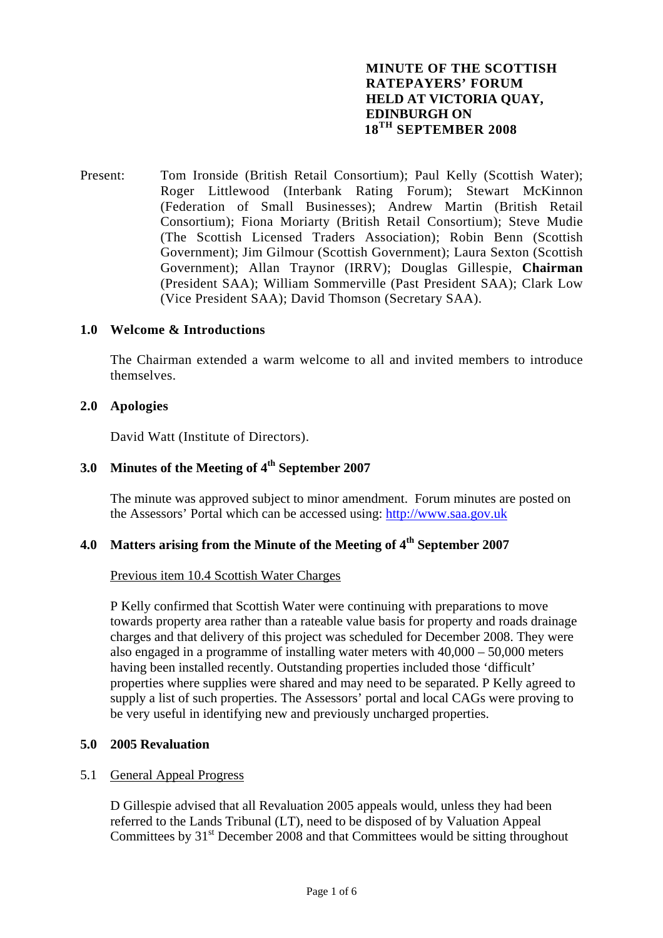# **MINUTE OF THE SCOTTISH RATEPAYERS' FORUM HELD AT VICTORIA QUAY, EDINBURGH ON 18TH SEPTEMBER 2008**

Present: Tom Ironside (British Retail Consortium); Paul Kelly (Scottish Water); Roger Littlewood (Interbank Rating Forum); Stewart McKinnon (Federation of Small Businesses); Andrew Martin (British Retail Consortium); Fiona Moriarty (British Retail Consortium); Steve Mudie (The Scottish Licensed Traders Association); Robin Benn (Scottish Government); Jim Gilmour (Scottish Government); Laura Sexton (Scottish Government); Allan Traynor (IRRV); Douglas Gillespie, **Chairman** (President SAA); William Sommerville (Past President SAA); Clark Low (Vice President SAA); David Thomson (Secretary SAA).

## **1.0 Welcome & Introductions**

The Chairman extended a warm welcome to all and invited members to introduce themselves.

## **2.0 Apologies**

David Watt (Institute of Directors).

# **3.0 Minutes of the Meeting of 4th September 2007**

The minute was approved subject to minor amendment. Forum minutes are posted on the Assessors' Portal which can be accessed using: [http://www.saa.gov.uk](http://www.saa.gov.uk/)

# **4.0 Matters arising from the Minute of the Meeting of 4th September 2007**

# Previous item 10.4 Scottish Water Charges

 P Kelly confirmed that Scottish Water were continuing with preparations to move towards property area rather than a rateable value basis for property and roads drainage charges and that delivery of this project was scheduled for December 2008. They were also engaged in a programme of installing water meters with 40,000 – 50,000 meters having been installed recently. Outstanding properties included those 'difficult' properties where supplies were shared and may need to be separated. P Kelly agreed to supply a list of such properties. The Assessors' portal and local CAGs were proving to be very useful in identifying new and previously uncharged properties.

#### **5.0 2005 Revaluation**

#### 5.1 General Appeal Progress

D Gillespie advised that all Revaluation 2005 appeals would, unless they had been referred to the Lands Tribunal (LT), need to be disposed of by Valuation Appeal Committees by  $31<sup>st</sup>$  December 2008 and that Committees would be sitting throughout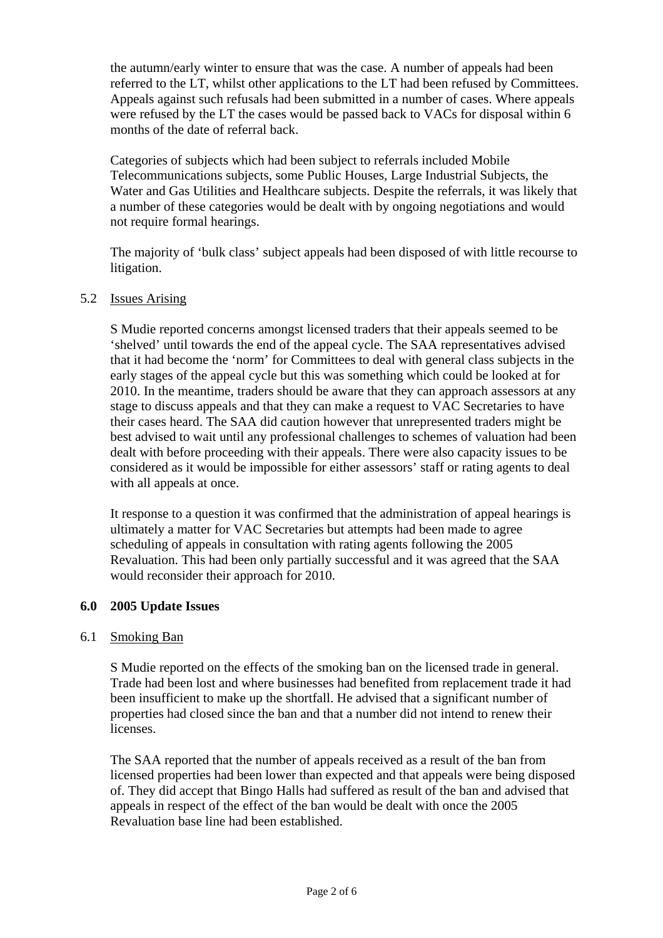the autumn/early winter to ensure that was the case. A number of appeals had been referred to the LT, whilst other applications to the LT had been refused by Committees. Appeals against such refusals had been submitted in a number of cases. Where appeals were refused by the LT the cases would be passed back to VACs for disposal within 6 months of the date of referral back.

Categories of subjects which had been subject to referrals included Mobile Telecommunications subjects, some Public Houses, Large Industrial Subjects, the Water and Gas Utilities and Healthcare subjects. Despite the referrals, it was likely that a number of these categories would be dealt with by ongoing negotiations and would not require formal hearings.

The majority of 'bulk class' subject appeals had been disposed of with little recourse to litigation.

## 5.2 Issues Arising

S Mudie reported concerns amongst licensed traders that their appeals seemed to be 'shelved' until towards the end of the appeal cycle. The SAA representatives advised that it had become the 'norm' for Committees to deal with general class subjects in the early stages of the appeal cycle but this was something which could be looked at for 2010. In the meantime, traders should be aware that they can approach assessors at any stage to discuss appeals and that they can make a request to VAC Secretaries to have their cases heard. The SAA did caution however that unrepresented traders might be best advised to wait until any professional challenges to schemes of valuation had been dealt with before proceeding with their appeals. There were also capacity issues to be considered as it would be impossible for either assessors' staff or rating agents to deal with all appeals at once.

It response to a question it was confirmed that the administration of appeal hearings is ultimately a matter for VAC Secretaries but attempts had been made to agree scheduling of appeals in consultation with rating agents following the 2005 Revaluation. This had been only partially successful and it was agreed that the SAA would reconsider their approach for 2010.

## **6.0 2005 Update Issues**

## 6.1 Smoking Ban

S Mudie reported on the effects of the smoking ban on the licensed trade in general. Trade had been lost and where businesses had benefited from replacement trade it had been insufficient to make up the shortfall. He advised that a significant number of properties had closed since the ban and that a number did not intend to renew their licenses.

The SAA reported that the number of appeals received as a result of the ban from licensed properties had been lower than expected and that appeals were being disposed of. They did accept that Bingo Halls had suffered as result of the ban and advised that appeals in respect of the effect of the ban would be dealt with once the 2005 Revaluation base line had been established.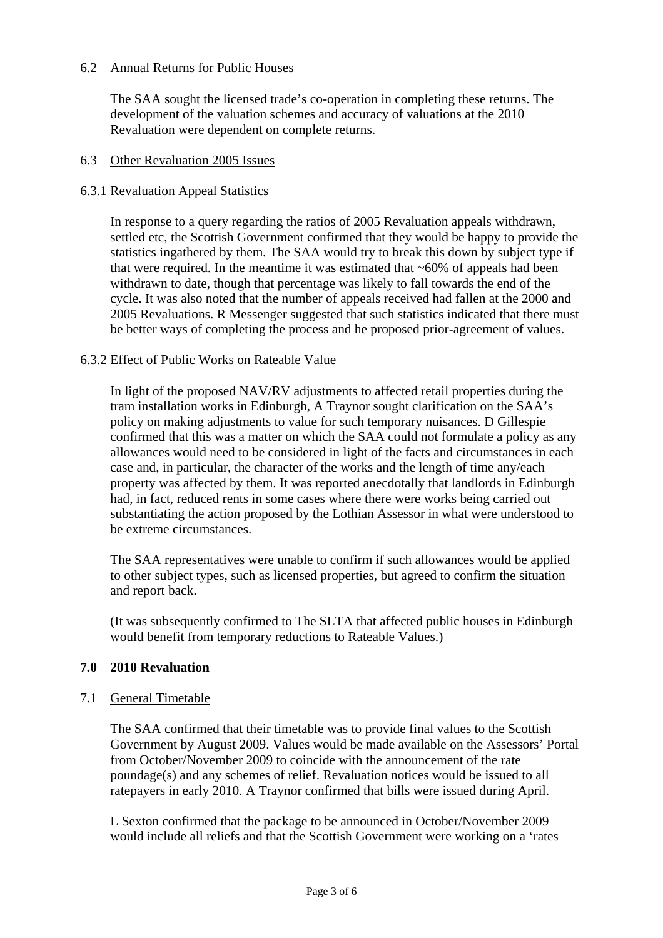# 6.2 Annual Returns for Public Houses

The SAA sought the licensed trade's co-operation in completing these returns. The development of the valuation schemes and accuracy of valuations at the 2010 Revaluation were dependent on complete returns.

## 6.3 Other Revaluation 2005 Issues

### 6.3.1 Revaluation Appeal Statistics

In response to a query regarding the ratios of 2005 Revaluation appeals withdrawn, settled etc, the Scottish Government confirmed that they would be happy to provide the statistics ingathered by them. The SAA would try to break this down by subject type if that were required. In the meantime it was estimated that  $~60\%$  of appeals had been withdrawn to date, though that percentage was likely to fall towards the end of the cycle. It was also noted that the number of appeals received had fallen at the 2000 and 2005 Revaluations. R Messenger suggested that such statistics indicated that there must be better ways of completing the process and he proposed prior-agreement of values.

#### 6.3.2 Effect of Public Works on Rateable Value

In light of the proposed NAV/RV adjustments to affected retail properties during the tram installation works in Edinburgh, A Traynor sought clarification on the SAA's policy on making adjustments to value for such temporary nuisances. D Gillespie confirmed that this was a matter on which the SAA could not formulate a policy as any allowances would need to be considered in light of the facts and circumstances in each case and, in particular, the character of the works and the length of time any/each property was affected by them. It was reported anecdotally that landlords in Edinburgh had, in fact, reduced rents in some cases where there were works being carried out substantiating the action proposed by the Lothian Assessor in what were understood to be extreme circumstances.

The SAA representatives were unable to confirm if such allowances would be applied to other subject types, such as licensed properties, but agreed to confirm the situation and report back.

(It was subsequently confirmed to The SLTA that affected public houses in Edinburgh would benefit from temporary reductions to Rateable Values.)

# **7.0 2010 Revaluation**

# 7.1 General Timetable

The SAA confirmed that their timetable was to provide final values to the Scottish Government by August 2009. Values would be made available on the Assessors' Portal from October/November 2009 to coincide with the announcement of the rate poundage(s) and any schemes of relief. Revaluation notices would be issued to all ratepayers in early 2010. A Traynor confirmed that bills were issued during April.

L Sexton confirmed that the package to be announced in October/November 2009 would include all reliefs and that the Scottish Government were working on a 'rates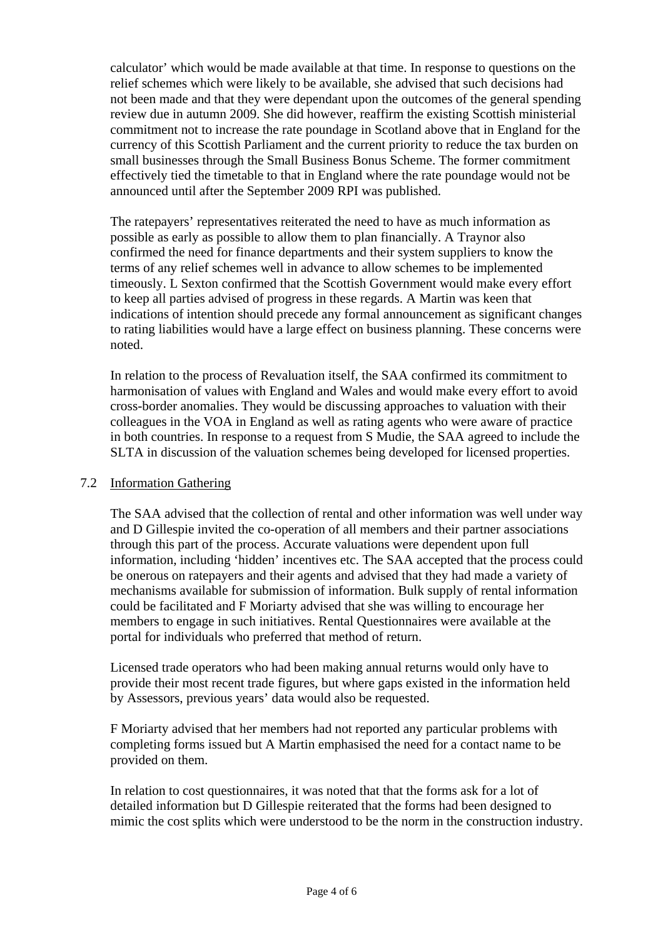calculator' which would be made available at that time. In response to questions on the relief schemes which were likely to be available, she advised that such decisions had not been made and that they were dependant upon the outcomes of the general spending review due in autumn 2009. She did however, reaffirm the existing Scottish ministerial commitment not to increase the rate poundage in Scotland above that in England for the currency of this Scottish Parliament and the current priority to reduce the tax burden on small businesses through the Small Business Bonus Scheme. The former commitment effectively tied the timetable to that in England where the rate poundage would not be announced until after the September 2009 RPI was published.

The ratepayers' representatives reiterated the need to have as much information as possible as early as possible to allow them to plan financially. A Traynor also confirmed the need for finance departments and their system suppliers to know the terms of any relief schemes well in advance to allow schemes to be implemented timeously. L Sexton confirmed that the Scottish Government would make every effort to keep all parties advised of progress in these regards. A Martin was keen that indications of intention should precede any formal announcement as significant changes to rating liabilities would have a large effect on business planning. These concerns were noted.

In relation to the process of Revaluation itself, the SAA confirmed its commitment to harmonisation of values with England and Wales and would make every effort to avoid cross-border anomalies. They would be discussing approaches to valuation with their colleagues in the VOA in England as well as rating agents who were aware of practice in both countries. In response to a request from S Mudie, the SAA agreed to include the SLTA in discussion of the valuation schemes being developed for licensed properties.

## 7.2 Information Gathering

 The SAA advised that the collection of rental and other information was well under way and D Gillespie invited the co-operation of all members and their partner associations through this part of the process. Accurate valuations were dependent upon full information, including 'hidden' incentives etc. The SAA accepted that the process could be onerous on ratepayers and their agents and advised that they had made a variety of mechanisms available for submission of information. Bulk supply of rental information could be facilitated and F Moriarty advised that she was willing to encourage her members to engage in such initiatives. Rental Questionnaires were available at the portal for individuals who preferred that method of return.

 Licensed trade operators who had been making annual returns would only have to provide their most recent trade figures, but where gaps existed in the information held by Assessors, previous years' data would also be requested.

 F Moriarty advised that her members had not reported any particular problems with completing forms issued but A Martin emphasised the need for a contact name to be provided on them.

 In relation to cost questionnaires, it was noted that that the forms ask for a lot of detailed information but D Gillespie reiterated that the forms had been designed to mimic the cost splits which were understood to be the norm in the construction industry.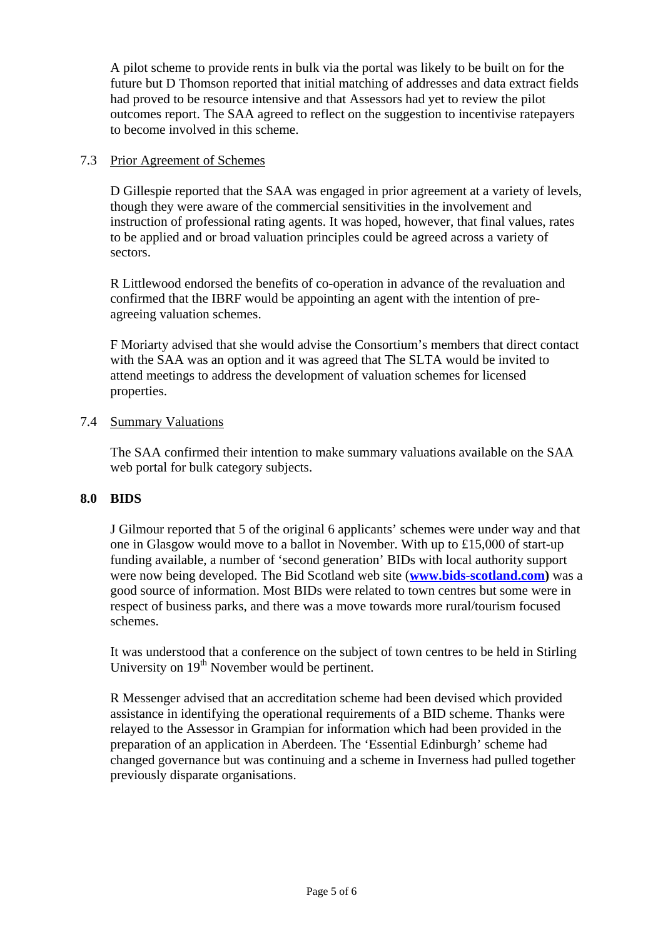A pilot scheme to provide rents in bulk via the portal was likely to be built on for the future but D Thomson reported that initial matching of addresses and data extract fields had proved to be resource intensive and that Assessors had yet to review the pilot outcomes report. The SAA agreed to reflect on the suggestion to incentivise ratepayers to become involved in this scheme.

# 7.3 Prior Agreement of Schemes

 D Gillespie reported that the SAA was engaged in prior agreement at a variety of levels, though they were aware of the commercial sensitivities in the involvement and instruction of professional rating agents. It was hoped, however, that final values, rates to be applied and or broad valuation principles could be agreed across a variety of sectors.

 R Littlewood endorsed the benefits of co-operation in advance of the revaluation and confirmed that the IBRF would be appointing an agent with the intention of preagreeing valuation schemes.

 F Moriarty advised that she would advise the Consortium's members that direct contact with the SAA was an option and it was agreed that The SLTA would be invited to attend meetings to address the development of valuation schemes for licensed properties.

# 7.4 Summary Valuations

 The SAA confirmed their intention to make summary valuations available on the SAA web portal for bulk category subjects.

## **8.0 BIDS**

J Gilmour reported that 5 of the original 6 applicants' schemes were under way and that one in Glasgow would move to a ballot in November. With up to £15,000 of start-up funding available, a number of 'second generation' BIDs with local authority support were now being developed. The Bid Scotland web site (**[www.bids-scotland.com](http://www.bids-scotland.com/))** was a good source of information. Most BIDs were related to town centres but some were in respect of business parks, and there was a move towards more rural/tourism focused schemes.

It was understood that a conference on the subject of town centres to be held in Stirling University on  $19<sup>th</sup>$  November would be pertinent.

R Messenger advised that an accreditation scheme had been devised which provided assistance in identifying the operational requirements of a BID scheme. Thanks were relayed to the Assessor in Grampian for information which had been provided in the preparation of an application in Aberdeen. The 'Essential Edinburgh' scheme had changed governance but was continuing and a scheme in Inverness had pulled together previously disparate organisations.